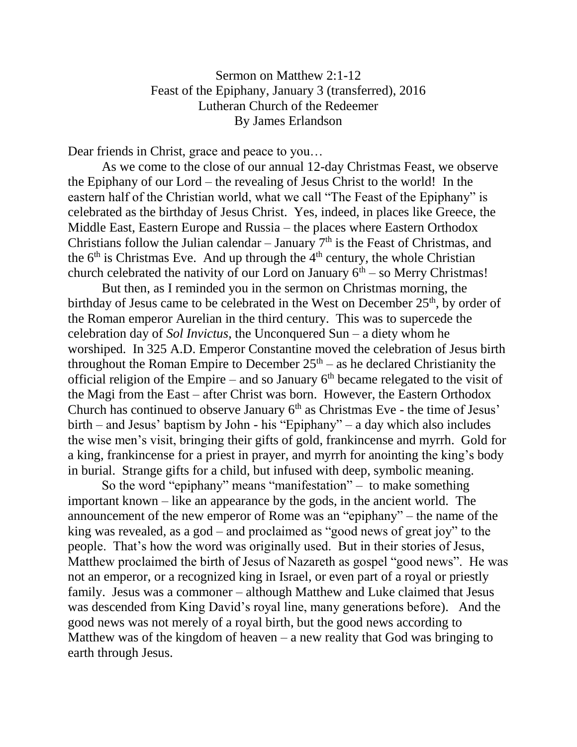## Sermon on Matthew 2:1-12 Feast of the Epiphany, January 3 (transferred), 2016 Lutheran Church of the Redeemer By James Erlandson

Dear friends in Christ, grace and peace to you…

As we come to the close of our annual 12-day Christmas Feast, we observe the Epiphany of our Lord – the revealing of Jesus Christ to the world! In the eastern half of the Christian world, what we call "The Feast of the Epiphany" is celebrated as the birthday of Jesus Christ. Yes, indeed, in places like Greece, the Middle East, Eastern Europe and Russia – the places where Eastern Orthodox Christians follow the Julian calendar  $-$  January  $7<sup>th</sup>$  is the Feast of Christmas, and the  $6<sup>th</sup>$  is Christmas Eve. And up through the  $4<sup>th</sup>$  century, the whole Christian church celebrated the nativity of our Lord on January  $6<sup>th</sup>$  – so Merry Christmas!

But then, as I reminded you in the sermon on Christmas morning, the birthday of Jesus came to be celebrated in the West on December  $25<sup>th</sup>$ , by order of the Roman emperor Aurelian in the third century. This was to supercede the celebration day of *Sol Invictus*, the Unconquered Sun – a diety whom he worshiped. In 325 A.D. Emperor Constantine moved the celebration of Jesus birth throughout the Roman Empire to December  $25<sup>th</sup> - as$  he declared Christianity the official religion of the Empire – and so January  $6<sup>th</sup>$  became relegated to the visit of the Magi from the East – after Christ was born. However, the Eastern Orthodox Church has continued to observe January  $6<sup>th</sup>$  as Christmas Eve - the time of Jesus' birth – and Jesus' baptism by John - his "Epiphany" – a day which also includes the wise men's visit, bringing their gifts of gold, frankincense and myrrh. Gold for a king, frankincense for a priest in prayer, and myrrh for anointing the king's body in burial. Strange gifts for a child, but infused with deep, symbolic meaning.

So the word "epiphany" means "manifestation" – to make something important known – like an appearance by the gods, in the ancient world. The announcement of the new emperor of Rome was an "epiphany" – the name of the king was revealed, as a god – and proclaimed as "good news of great joy" to the people. That's how the word was originally used. But in their stories of Jesus, Matthew proclaimed the birth of Jesus of Nazareth as gospel "good news". He was not an emperor, or a recognized king in Israel, or even part of a royal or priestly family. Jesus was a commoner – although Matthew and Luke claimed that Jesus was descended from King David's royal line, many generations before). And the good news was not merely of a royal birth, but the good news according to Matthew was of the kingdom of heaven  $-$  a new reality that God was bringing to earth through Jesus.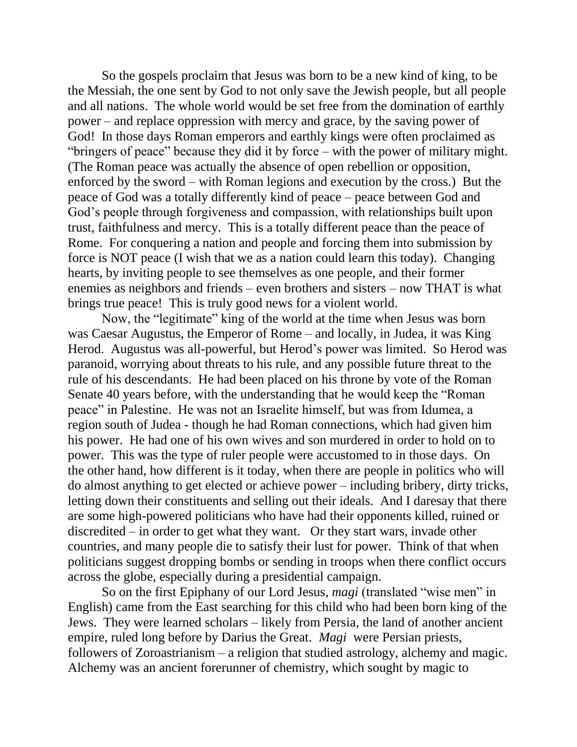So the gospels proclaim that Jesus was born to be a new kind of king, to be the Messiah, the one sent by God to not only save the Jewish people, but all people and all nations. The whole world would be set free from the domination of earthly power – and replace oppression with mercy and grace, by the saving power of God! In those days Roman emperors and earthly kings were often proclaimed as "bringers of peace" because they did it by force – with the power of military might. (The Roman peace was actually the absence of open rebellion or opposition, enforced by the sword – with Roman legions and execution by the cross.) But the peace of God was a totally differently kind of peace – peace between God and God's people through forgiveness and compassion, with relationships built upon trust, faithfulness and mercy. This is a totally different peace than the peace of Rome. For conquering a nation and people and forcing them into submission by force is NOT peace (I wish that we as a nation could learn this today). Changing hearts, by inviting people to see themselves as one people, and their former enemies as neighbors and friends – even brothers and sisters – now THAT is what brings true peace! This is truly good news for a violent world.

Now, the "legitimate" king of the world at the time when Jesus was born was Caesar Augustus, the Emperor of Rome – and locally, in Judea, it was King Herod. Augustus was all-powerful, but Herod's power was limited. So Herod was paranoid, worrying about threats to his rule, and any possible future threat to the rule of his descendants. He had been placed on his throne by vote of the Roman Senate 40 years before, with the understanding that he would keep the "Roman peace" in Palestine. He was not an Israelite himself, but was from Idumea, a region south of Judea - though he had Roman connections, which had given him his power. He had one of his own wives and son murdered in order to hold on to power. This was the type of ruler people were accustomed to in those days. On the other hand, how different is it today, when there are people in politics who will do almost anything to get elected or achieve power – including bribery, dirty tricks, letting down their constituents and selling out their ideals. And I daresay that there are some high-powered politicians who have had their opponents killed, ruined or discredited – in order to get what they want. Or they start wars, invade other countries, and many people die to satisfy their lust for power. Think of that when politicians suggest dropping bombs or sending in troops when there conflict occurs across the globe, especially during a presidential campaign.

So on the first Epiphany of our Lord Jesus, *magi* (translated "wise men" in English) came from the East searching for this child who had been born king of the Jews. They were learned scholars – likely from Persia, the land of another ancient empire, ruled long before by Darius the Great. *Magi* were Persian priests, followers of Zoroastrianism – a religion that studied astrology, alchemy and magic. Alchemy was an ancient forerunner of chemistry, which sought by magic to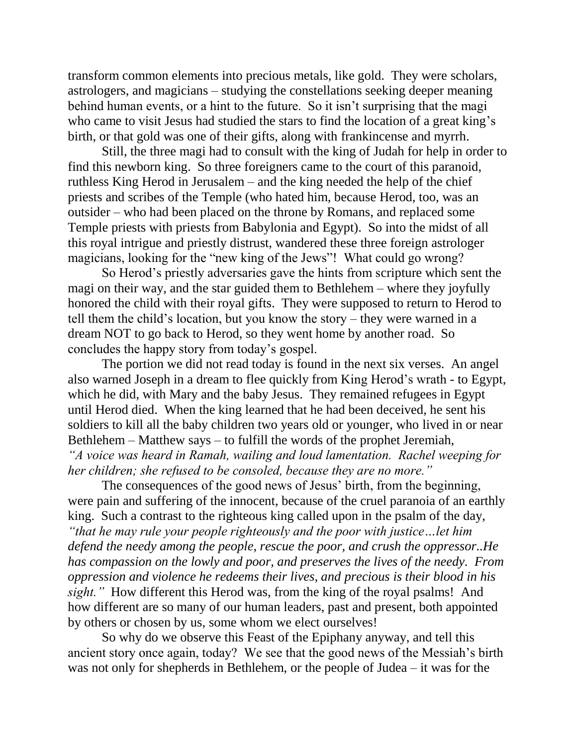transform common elements into precious metals, like gold. They were scholars, astrologers, and magicians – studying the constellations seeking deeper meaning behind human events, or a hint to the future. So it isn't surprising that the magi who came to visit Jesus had studied the stars to find the location of a great king's birth, or that gold was one of their gifts, along with frankincense and myrrh.

Still, the three magi had to consult with the king of Judah for help in order to find this newborn king. So three foreigners came to the court of this paranoid, ruthless King Herod in Jerusalem – and the king needed the help of the chief priests and scribes of the Temple (who hated him, because Herod, too, was an outsider – who had been placed on the throne by Romans, and replaced some Temple priests with priests from Babylonia and Egypt). So into the midst of all this royal intrigue and priestly distrust, wandered these three foreign astrologer magicians, looking for the "new king of the Jews"! What could go wrong?

So Herod's priestly adversaries gave the hints from scripture which sent the magi on their way, and the star guided them to Bethlehem – where they joyfully honored the child with their royal gifts. They were supposed to return to Herod to tell them the child's location, but you know the story – they were warned in a dream NOT to go back to Herod, so they went home by another road. So concludes the happy story from today's gospel.

The portion we did not read today is found in the next six verses. An angel also warned Joseph in a dream to flee quickly from King Herod's wrath - to Egypt, which he did, with Mary and the baby Jesus. They remained refugees in Egypt until Herod died. When the king learned that he had been deceived, he sent his soldiers to kill all the baby children two years old or younger, who lived in or near Bethlehem – Matthew says – to fulfill the words of the prophet Jeremiah, *"A voice was heard in Ramah, wailing and loud lamentation. Rachel weeping for her children; she refused to be consoled, because they are no more."*

The consequences of the good news of Jesus' birth, from the beginning, were pain and suffering of the innocent, because of the cruel paranoia of an earthly king. Such a contrast to the righteous king called upon in the psalm of the day, *"that he may rule your people righteously and the poor with justice…let him defend the needy among the people, rescue the poor, and crush the oppressor..He has compassion on the lowly and poor, and preserves the lives of the needy. From oppression and violence he redeems their lives, and precious is their blood in his sight."* How different this Herod was, from the king of the royal psalms! And how different are so many of our human leaders, past and present, both appointed by others or chosen by us, some whom we elect ourselves!

So why do we observe this Feast of the Epiphany anyway, and tell this ancient story once again, today? We see that the good news of the Messiah's birth was not only for shepherds in Bethlehem, or the people of Judea – it was for the